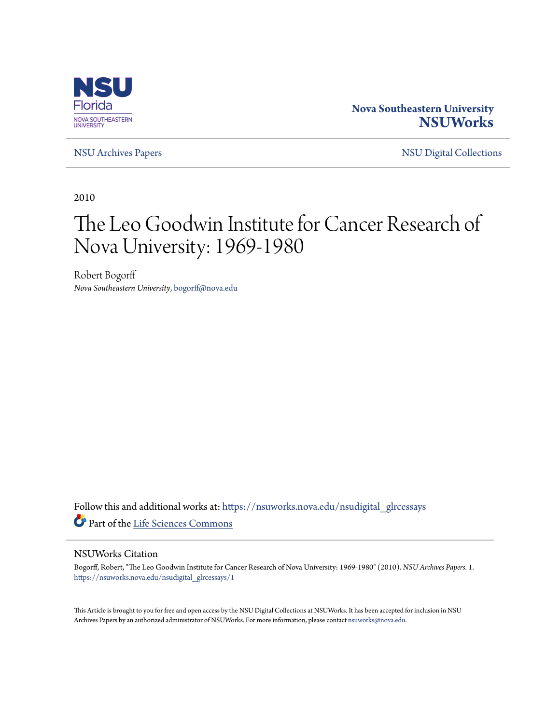

## **Nova Southeastern University [NSUWorks](https://nsuworks.nova.edu?utm_source=nsuworks.nova.edu%2Fnsudigital_glrcessays%2F1&utm_medium=PDF&utm_campaign=PDFCoverPages)**

[NSU Archives Papers](https://nsuworks.nova.edu/nsudigital_glrcessays?utm_source=nsuworks.nova.edu%2Fnsudigital_glrcessays%2F1&utm_medium=PDF&utm_campaign=PDFCoverPages) [NSU Digital Collections](https://nsuworks.nova.edu/nsudigital?utm_source=nsuworks.nova.edu%2Fnsudigital_glrcessays%2F1&utm_medium=PDF&utm_campaign=PDFCoverPages)

2010

# The Leo Goodwin Institute for Cancer Research of Nova University: 1969-1980

Robert Bogorff *Nova Southeastern University*, bogorff@nova.edu

Follow this and additional works at: [https://nsuworks.nova.edu/nsudigital\\_glrcessays](https://nsuworks.nova.edu/nsudigital_glrcessays?utm_source=nsuworks.nova.edu%2Fnsudigital_glrcessays%2F1&utm_medium=PDF&utm_campaign=PDFCoverPages) Part of the [Life Sciences Commons](http://network.bepress.com/hgg/discipline/1016?utm_source=nsuworks.nova.edu%2Fnsudigital_glrcessays%2F1&utm_medium=PDF&utm_campaign=PDFCoverPages)

#### NSUWorks Citation

Bogorff, Robert, "The Leo Goodwin Institute for Cancer Research of Nova University: 1969-1980" (2010). *NSU Archives Papers*. 1. [https://nsuworks.nova.edu/nsudigital\\_glrcessays/1](https://nsuworks.nova.edu/nsudigital_glrcessays/1?utm_source=nsuworks.nova.edu%2Fnsudigital_glrcessays%2F1&utm_medium=PDF&utm_campaign=PDFCoverPages)

This Article is brought to you for free and open access by the NSU Digital Collections at NSUWorks. It has been accepted for inclusion in NSU Archives Papers by an authorized administrator of NSUWorks. For more information, please contact [nsuworks@nova.edu](mailto:nsuworks@nova.edu).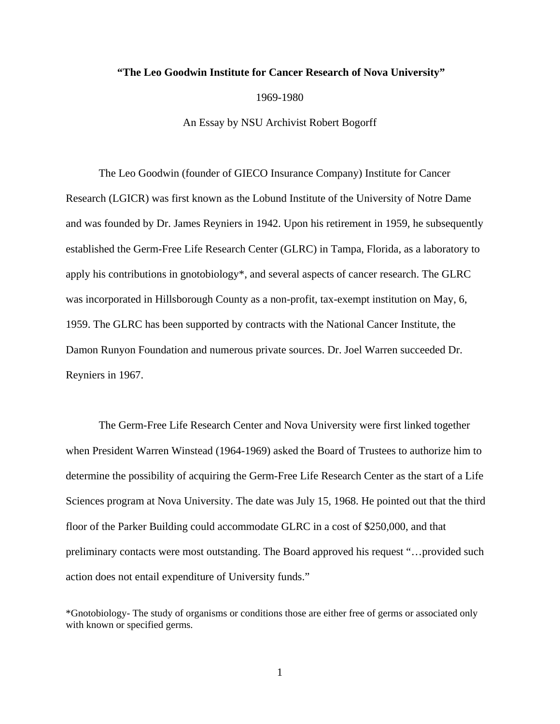### **"The Leo Goodwin Institute for Cancer Research of Nova University"**

1969-1980

An Essay by NSU Archivist Robert Bogorff

The Leo Goodwin (founder of GIECO Insurance Company) Institute for Cancer Research (LGICR) was first known as the Lobund Institute of the University of Notre Dame and was founded by Dr. James Reyniers in 1942. Upon his retirement in 1959, he subsequently established the Germ-Free Life Research Center (GLRC) in Tampa, Florida, as a laboratory to apply his contributions in gnotobiology\*, and several aspects of cancer research. The GLRC was incorporated in Hillsborough County as a non-profit, tax-exempt institution on May, 6, 1959. The GLRC has been supported by contracts with the National Cancer Institute, the Damon Runyon Foundation and numerous private sources. Dr. Joel Warren succeeded Dr. Reyniers in 1967.

The Germ-Free Life Research Center and Nova University were first linked together when President Warren Winstead (1964-1969) asked the Board of Trustees to authorize him to determine the possibility of acquiring the Germ-Free Life Research Center as the start of a Life Sciences program at Nova University. The date was July 15, 1968. He pointed out that the third floor of the Parker Building could accommodate GLRC in a cost of \$250,000, and that preliminary contacts were most outstanding. The Board approved his request "…provided such action does not entail expenditure of University funds."

<sup>\*</sup>Gnotobiology- The study of organisms or conditions those are either free of germs or associated only with known or specified germs.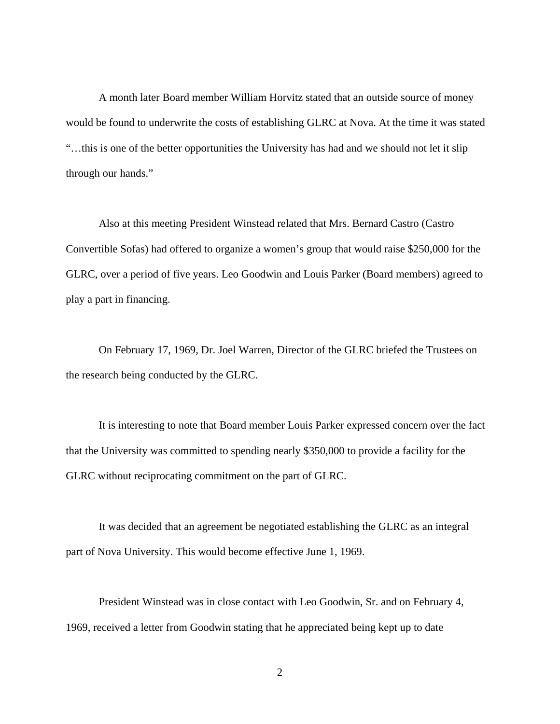A month later Board member William Horvitz stated that an outside source of money would be found to underwrite the costs of establishing GLRC at Nova. At the time it was stated "…this is one of the better opportunities the University has had and we should not let it slip through our hands."

Also at this meeting President Winstead related that Mrs. Bernard Castro (Castro Convertible Sofas) had offered to organize a women's group that would raise \$250,000 for the GLRC, over a period of five years. Leo Goodwin and Louis Parker (Board members) agreed to play a part in financing.

On February 17, 1969, Dr. Joel Warren, Director of the GLRC briefed the Trustees on the research being conducted by the GLRC.

It is interesting to note that Board member Louis Parker expressed concern over the fact that the University was committed to spending nearly \$350,000 to provide a facility for the GLRC without reciprocating commitment on the part of GLRC.

It was decided that an agreement be negotiated establishing the GLRC as an integral part of Nova University. This would become effective June 1, 1969.

President Winstead was in close contact with Leo Goodwin, Sr. and on February 4, 1969, received a letter from Goodwin stating that he appreciated being kept up to date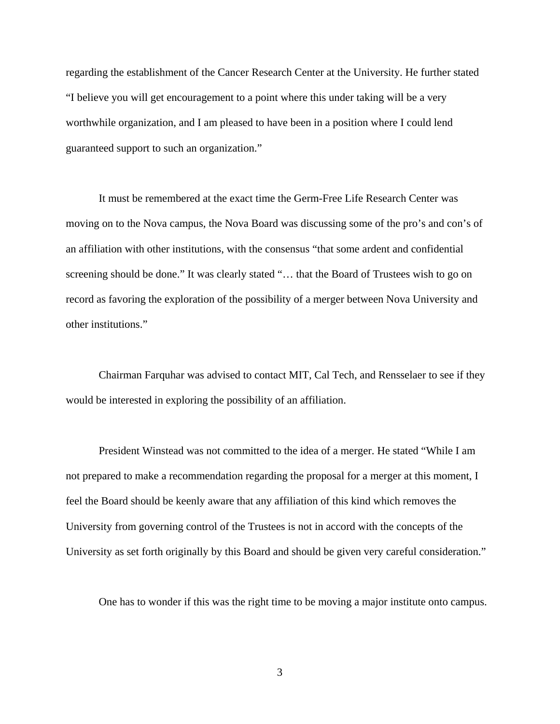regarding the establishment of the Cancer Research Center at the University. He further stated "I believe you will get encouragement to a point where this under taking will be a very worthwhile organization, and I am pleased to have been in a position where I could lend guaranteed support to such an organization."

It must be remembered at the exact time the Germ-Free Life Research Center was moving on to the Nova campus, the Nova Board was discussing some of the pro's and con's of an affiliation with other institutions, with the consensus "that some ardent and confidential screening should be done." It was clearly stated "… that the Board of Trustees wish to go on record as favoring the exploration of the possibility of a merger between Nova University and other institutions."

Chairman Farquhar was advised to contact MIT, Cal Tech, and Rensselaer to see if they would be interested in exploring the possibility of an affiliation.

President Winstead was not committed to the idea of a merger. He stated "While I am not prepared to make a recommendation regarding the proposal for a merger at this moment, I feel the Board should be keenly aware that any affiliation of this kind which removes the University from governing control of the Trustees is not in accord with the concepts of the University as set forth originally by this Board and should be given very careful consideration."

One has to wonder if this was the right time to be moving a major institute onto campus.

3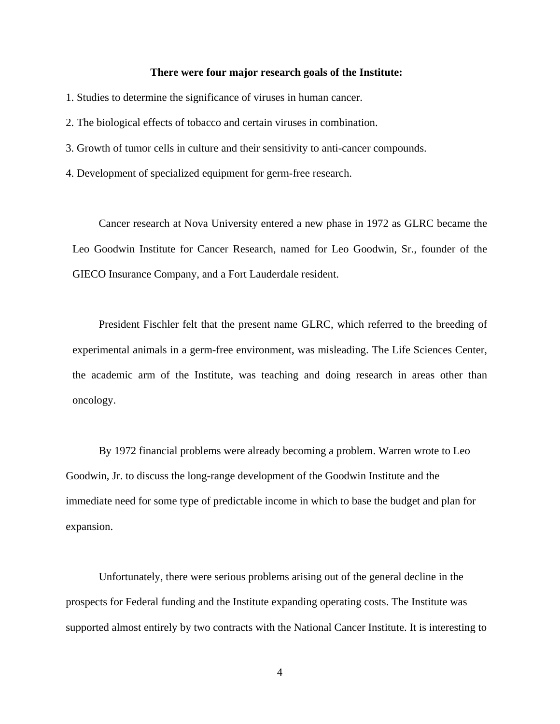#### **There were four major research goals of the Institute:**

- 1. Studies to determine the significance of viruses in human cancer.
- 2. The biological effects of tobacco and certain viruses in combination.
- 3. Growth of tumor cells in culture and their sensitivity to anti-cancer compounds.
- 4. Development of specialized equipment for germ-free research.

Cancer research at Nova University entered a new phase in 1972 as GLRC became the Leo Goodwin Institute for Cancer Research, named for Leo Goodwin, Sr., founder of the GIECO Insurance Company, and a Fort Lauderdale resident.

President Fischler felt that the present name GLRC, which referred to the breeding of experimental animals in a germ-free environment, was misleading. The Life Sciences Center, the academic arm of the Institute, was teaching and doing research in areas other than oncology.

By 1972 financial problems were already becoming a problem. Warren wrote to Leo Goodwin, Jr. to discuss the long-range development of the Goodwin Institute and the immediate need for some type of predictable income in which to base the budget and plan for expansion.

Unfortunately, there were serious problems arising out of the general decline in the prospects for Federal funding and the Institute expanding operating costs. The Institute was supported almost entirely by two contracts with the National Cancer Institute. It is interesting to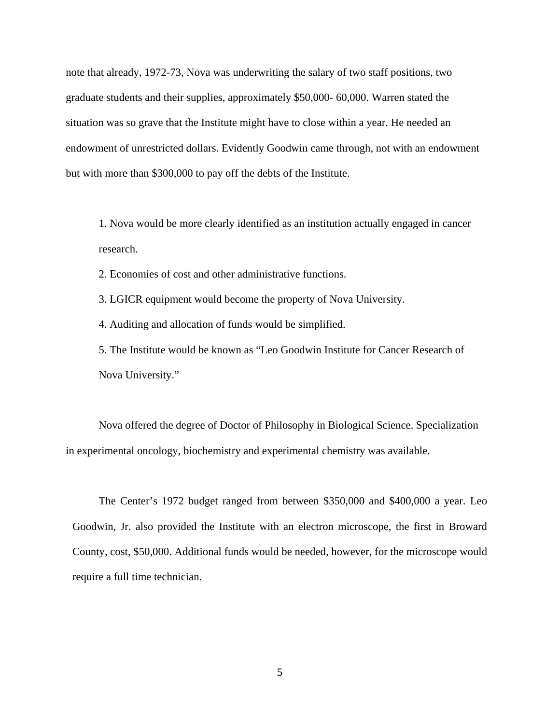note that already, 1972-73, Nova was underwriting the salary of two staff positions, two graduate students and their supplies, approximately \$50,000- 60,000. Warren stated the situation was so grave that the Institute might have to close within a year. He needed an endowment of unrestricted dollars. Evidently Goodwin came through, not with an endowment but with more than \$300,000 to pay off the debts of the Institute.

1. Nova would be more clearly identified as an institution actually engaged in cancer research.

2. Economies of cost and other administrative functions.

3. LGICR equipment would become the property of Nova University.

4. Auditing and allocation of funds would be simplified.

5. The Institute would be known as "Leo Goodwin Institute for Cancer Research of Nova University."

Nova offered the degree of Doctor of Philosophy in Biological Science. Specialization in experimental oncology, biochemistry and experimental chemistry was available.

The Center's 1972 budget ranged from between \$350,000 and \$400,000 a year. Leo Goodwin, Jr. also provided the Institute with an electron microscope, the first in Broward County, cost, \$50,000. Additional funds would be needed, however, for the microscope would require a full time technician.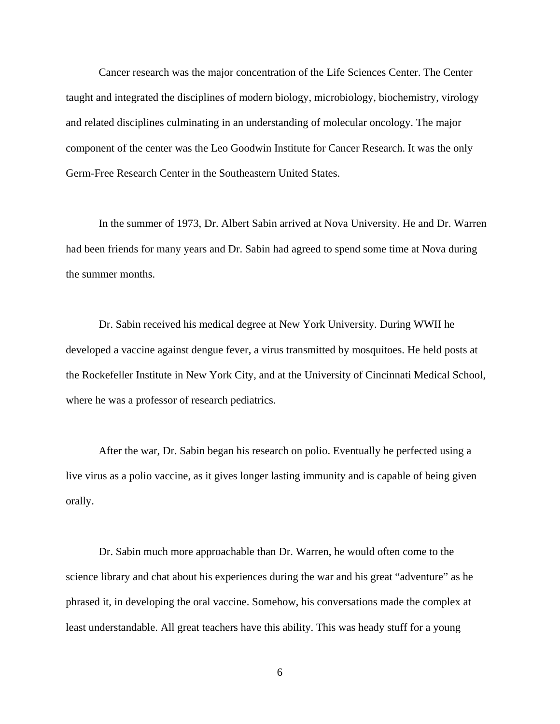Cancer research was the major concentration of the Life Sciences Center. The Center taught and integrated the disciplines of modern biology, microbiology, biochemistry, virology and related disciplines culminating in an understanding of molecular oncology. The major component of the center was the Leo Goodwin Institute for Cancer Research. It was the only Germ-Free Research Center in the Southeastern United States.

In the summer of 1973, Dr. Albert Sabin arrived at Nova University. He and Dr. Warren had been friends for many years and Dr. Sabin had agreed to spend some time at Nova during the summer months.

Dr. Sabin received his medical degree at New York University. During WWII he developed a vaccine against dengue fever, a virus transmitted by mosquitoes. He held posts at the Rockefeller Institute in New York City, and at the University of Cincinnati Medical School, where he was a professor of research pediatrics.

After the war, Dr. Sabin began his research on polio. Eventually he perfected using a live virus as a polio vaccine, as it gives longer lasting immunity and is capable of being given orally.

Dr. Sabin much more approachable than Dr. Warren, he would often come to the science library and chat about his experiences during the war and his great "adventure" as he phrased it, in developing the oral vaccine. Somehow, his conversations made the complex at least understandable. All great teachers have this ability. This was heady stuff for a young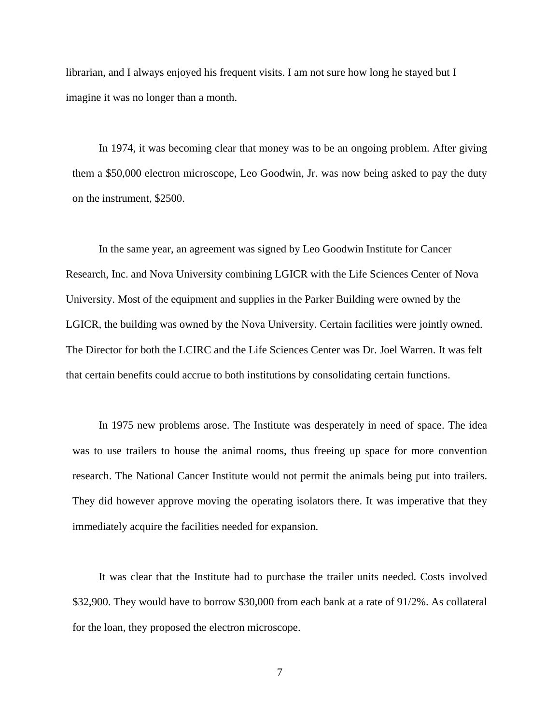librarian, and I always enjoyed his frequent visits. I am not sure how long he stayed but I imagine it was no longer than a month.

In 1974, it was becoming clear that money was to be an ongoing problem. After giving them a \$50,000 electron microscope, Leo Goodwin, Jr. was now being asked to pay the duty on the instrument, \$2500.

In the same year, an agreement was signed by Leo Goodwin Institute for Cancer Research, Inc. and Nova University combining LGICR with the Life Sciences Center of Nova University. Most of the equipment and supplies in the Parker Building were owned by the LGICR, the building was owned by the Nova University. Certain facilities were jointly owned. The Director for both the LCIRC and the Life Sciences Center was Dr. Joel Warren. It was felt that certain benefits could accrue to both institutions by consolidating certain functions.

In 1975 new problems arose. The Institute was desperately in need of space. The idea was to use trailers to house the animal rooms, thus freeing up space for more convention research. The National Cancer Institute would not permit the animals being put into trailers. They did however approve moving the operating isolators there. It was imperative that they immediately acquire the facilities needed for expansion.

It was clear that the Institute had to purchase the trailer units needed. Costs involved \$32,900. They would have to borrow \$30,000 from each bank at a rate of 91/2%. As collateral for the loan, they proposed the electron microscope.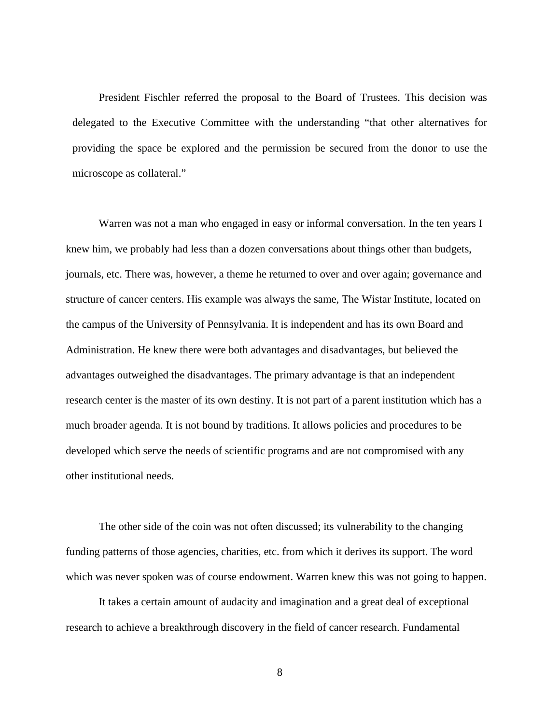President Fischler referred the proposal to the Board of Trustees. This decision was delegated to the Executive Committee with the understanding "that other alternatives for providing the space be explored and the permission be secured from the donor to use the microscope as collateral."

Warren was not a man who engaged in easy or informal conversation. In the ten years I knew him, we probably had less than a dozen conversations about things other than budgets, journals, etc. There was, however, a theme he returned to over and over again; governance and structure of cancer centers. His example was always the same, The Wistar Institute, located on the campus of the University of Pennsylvania. It is independent and has its own Board and Administration. He knew there were both advantages and disadvantages, but believed the advantages outweighed the disadvantages. The primary advantage is that an independent research center is the master of its own destiny. It is not part of a parent institution which has a much broader agenda. It is not bound by traditions. It allows policies and procedures to be developed which serve the needs of scientific programs and are not compromised with any other institutional needs.

The other side of the coin was not often discussed; its vulnerability to the changing funding patterns of those agencies, charities, etc. from which it derives its support. The word which was never spoken was of course endowment. Warren knew this was not going to happen.

It takes a certain amount of audacity and imagination and a great deal of exceptional research to achieve a breakthrough discovery in the field of cancer research. Fundamental

8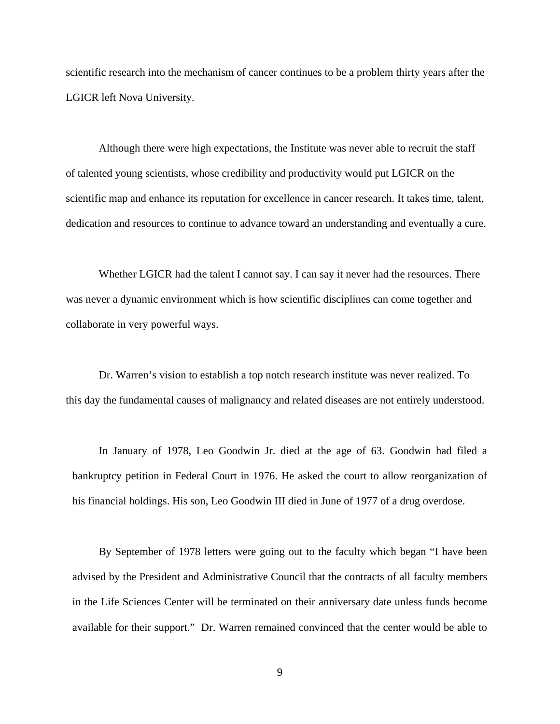scientific research into the mechanism of cancer continues to be a problem thirty years after the LGICR left Nova University.

Although there were high expectations, the Institute was never able to recruit the staff of talented young scientists, whose credibility and productivity would put LGICR on the scientific map and enhance its reputation for excellence in cancer research. It takes time, talent, dedication and resources to continue to advance toward an understanding and eventually a cure.

Whether LGICR had the talent I cannot say. I can say it never had the resources. There was never a dynamic environment which is how scientific disciplines can come together and collaborate in very powerful ways.

Dr. Warren's vision to establish a top notch research institute was never realized. To this day the fundamental causes of malignancy and related diseases are not entirely understood.

In January of 1978, Leo Goodwin Jr. died at the age of 63. Goodwin had filed a bankruptcy petition in Federal Court in 1976. He asked the court to allow reorganization of his financial holdings. His son, Leo Goodwin III died in June of 1977 of a drug overdose.

By September of 1978 letters were going out to the faculty which began "I have been advised by the President and Administrative Council that the contracts of all faculty members in the Life Sciences Center will be terminated on their anniversary date unless funds become available for their support." Dr. Warren remained convinced that the center would be able to